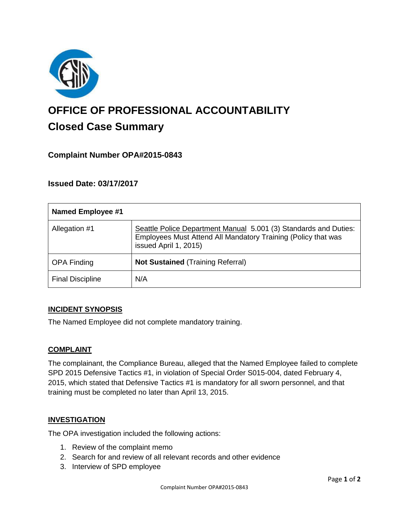

# **OFFICE OF PROFESSIONAL ACCOUNTABILITY Closed Case Summary**

## **Complaint Number OPA#2015-0843**

## **Issued Date: 03/17/2017**

| <b>Named Employee #1</b> |                                                                                                                                                            |
|--------------------------|------------------------------------------------------------------------------------------------------------------------------------------------------------|
| Allegation #1            | Seattle Police Department Manual 5.001 (3) Standards and Duties:<br>Employees Must Attend All Mandatory Training (Policy that was<br>issued April 1, 2015) |
| <b>OPA Finding</b>       | <b>Not Sustained (Training Referral)</b>                                                                                                                   |
| <b>Final Discipline</b>  | N/A                                                                                                                                                        |

#### **INCIDENT SYNOPSIS**

The Named Employee did not complete mandatory training.

#### **COMPLAINT**

The complainant, the Compliance Bureau, alleged that the Named Employee failed to complete SPD 2015 Defensive Tactics #1, in violation of Special Order S015-004, dated February 4, 2015, which stated that Defensive Tactics #1 is mandatory for all sworn personnel, and that training must be completed no later than April 13, 2015.

#### **INVESTIGATION**

The OPA investigation included the following actions:

- 1. Review of the complaint memo
- 2. Search for and review of all relevant records and other evidence
- 3. Interview of SPD employee